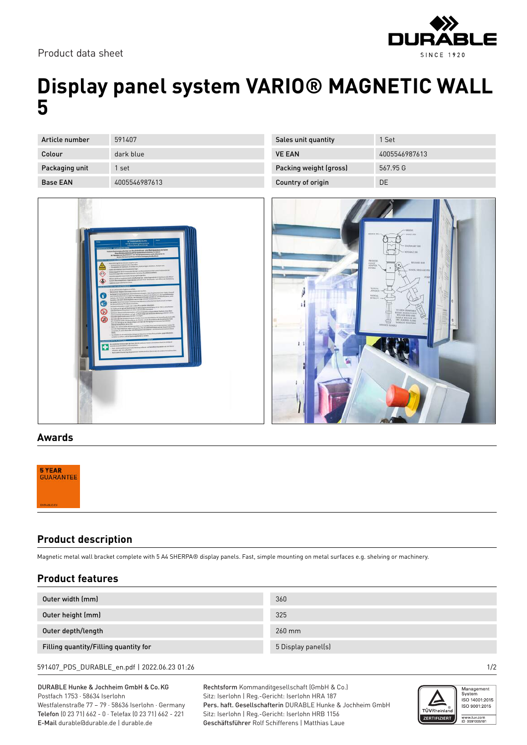Product data sheet



## **Display panel system VARIO® MAGNETIC WALL 5**

| Article number  | 591407        |
|-----------------|---------------|
| Colour          | dark blue     |
| Packaging unit  | 1 set         |
| <b>Base EAN</b> | 4005546987613 |



| Sales unit quantity    | 1 Set         |
|------------------------|---------------|
| <b>VE EAN</b>          | 4005546987613 |
| Packing weight (gross) | 567.95 G      |
| Country of origin      | DΕ            |



## **Awards**

| <b>5 YEAR</b><br>GUARANTEE |  |  |  |
|----------------------------|--|--|--|
| <b>UURABLE.EU</b>          |  |  |  |

## **Product description**

Magnetic metal wall bracket complete with 5 A4 SHERPA® display panels. Fast, simple mounting on metal surfaces e.g. shelving or machinery.

| <b>Product features</b>               |                    |  |  |  |
|---------------------------------------|--------------------|--|--|--|
| Outer width (mm)                      | 360                |  |  |  |
| Outer height (mm)                     | 325                |  |  |  |
| Outer depth/length                    | 260 mm             |  |  |  |
| Filling quantity/Filling quantity for | 5 Display panel(s) |  |  |  |
|                                       |                    |  |  |  |

591407\_PDS\_DURABLE\_en.pdf | 2022.06.23 01:26 1/2

DURABLE Hunke & Jochheim GmbH & Co.KG Postfach 1753 · 58634 Iserlohn Westfalenstraße 77 – 79 · 58636 Iserlohn · Germany Telefon (0 23 71) 662 - 0 · Telefax (0 23 71) 662 - 221 E-Mail durable@durable.de | durable.de

Rechtsform Kommanditgesellschaft (GmbH & Co.) Sitz: Iserlohn | Reg.-Gericht: Iserlohn HRA 187 Pers. haft. Gesellschafterin DURABLE Hunke & Jochheim GmbH Sitz: Iserlohn | Reg.-Gericht: Iserlohn HRB 1156 Geschäftsführer Rolf Schifferens | Matthias Laue